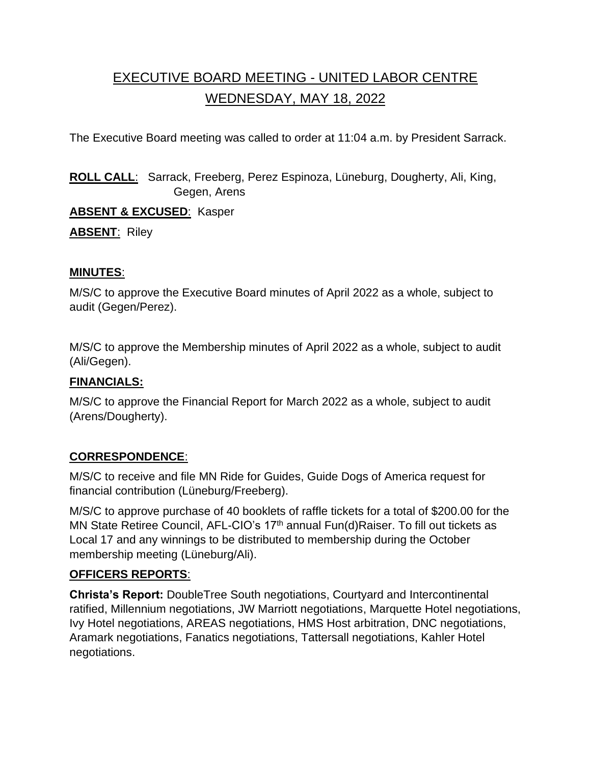# EXECUTIVE BOARD MEETING - UNITED LABOR CENTRE WEDNESDAY, MAY 18, 2022

The Executive Board meeting was called to order at 11:04 a.m. by President Sarrack.

**ROLL CALL**: Sarrack, Freeberg, Perez Espinoza, Lüneburg, Dougherty, Ali, King, Gegen, Arens

**ABSENT & EXCUSED**: Kasper

**ABSENT**: Riley

#### **MINUTES**:

M/S/C to approve the Executive Board minutes of April 2022 as a whole, subject to audit (Gegen/Perez).

M/S/C to approve the Membership minutes of April 2022 as a whole, subject to audit (Ali/Gegen).

## **FINANCIALS:**

M/S/C to approve the Financial Report for March 2022 as a whole, subject to audit (Arens/Dougherty).

## **CORRESPONDENCE**:

M/S/C to receive and file MN Ride for Guides, Guide Dogs of America request for financial contribution (Lüneburg/Freeberg).

M/S/C to approve purchase of 40 booklets of raffle tickets for a total of \$200.00 for the MN State Retiree Council, AFL-CIO's 17<sup>th</sup> annual Fun(d)Raiser. To fill out tickets as Local 17 and any winnings to be distributed to membership during the October membership meeting (Lüneburg/Ali).

## **OFFICERS REPORTS**:

**Christa's Report:** DoubleTree South negotiations, Courtyard and Intercontinental ratified, Millennium negotiations, JW Marriott negotiations, Marquette Hotel negotiations, Ivy Hotel negotiations, AREAS negotiations, HMS Host arbitration, DNC negotiations, Aramark negotiations, Fanatics negotiations, Tattersall negotiations, Kahler Hotel negotiations.